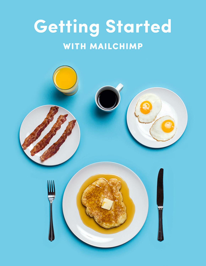# **Getting Started WITH MAILCHIMP**

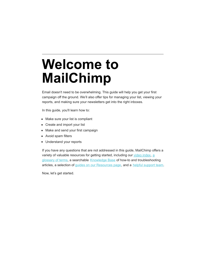# **Welcome to MailChimp**

Email doesn't need to be overwhelming. This guide will help you get your first campaign off the ground. We'll also offer tips for managing your list, viewing your reports, and making sure your newsletters get into the right inboxes.

In this guide, you'll learn how to:

- Make sure your list is compliant
- Create and import your list
- Make and send your first campaign
- Avoid spam filters
- Understand your reports

If you have any questions that are not addressed in this guide, MailChimp offers a [variety of valuable resources for getting started, including our video index, a](http://kb.mailchimp.com/glossary) glossary of terms, a searchable [Knowledge Base](http://kb.mailchimp.com/) of how-to and troubleshooting articles, a selection of [guides on our Resources page](http://mailchimp.com/resources/), and a [helpful support team](http://mailchimp.com/contact/support/).

Now, let's get started.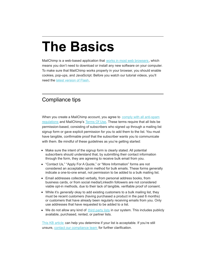# **The Basics**

MailChimp is a web-based application that [works in most web browsers](http://kb.mailchimp.com/accounts/account-setup/minimum-system-requirements), which means you don't need to download or install any new software on your computer. To make sure that MailChimp works properly in your browser, you should enable cookies, pop-ups, and JavaScript. Before you watch our tutorial videos, you'll need the [latest version of Flash](http://get.adobe.com/flashplayer/).

### Compliance tips

[When you create a MailChimp account, you agree to comply with all anti-spam](http://kb.mailchimp.com/accounts/compliance-tips/terms-of-use-and-anti-spam-requirements-for-campaigns) regulations and MailChimp's [Terms Of Use](http://mailchimp.com/legal/terms/). These terms require that all lists be permission-based, consisting of subscribers who signed up through a mailing list signup form or gave explicit permission for you to add them to the list. You must have tangible, confirmable proof that the subscriber wants you to communicate with them. Be mindful of these guidelines as you're getting started:

- Make sure the intent of the signup form is clearly stated. All potential subscribers should understand that, by submitting their contact information through the form, they are agreeing to receive bulk email from you.
- "Contact Us," "Apply For A Quote," or "More Information" forms are not considered an acceptable opt-in method for bulk emails. These forms generally indicate a one-to-one email, not permission to be added to a bulk mailing list.
- Email addresses collected verbally, from personal address books, from business cards, or from social media/LinkedIn followers are not considered viable opt-in methods, due to their lack of tangible, verifiable proof of consent.
- While it's *generally* okay to add existing customers to a bulk mailing list, they must be recent customers (having purchased a product in the past 6 months) or customers that have already been regularly receiving emails from you. Only use addresses that have requested to be added to a list.
- We do not allow any kind of [third party lists](http://kb.mailchimp.com/accounts/compliance-tips/third-party-purchased-or-rented-lists) in our system. This includes publicly available, purchased, rented, or partner lists.

[This KB article](http://eepurl.com/ynaj) can help you determine if your list is acceptable. If you're still unsure, [contact our compliance team](http://mailchimp.com/contact/?department=compliance) for further clarification.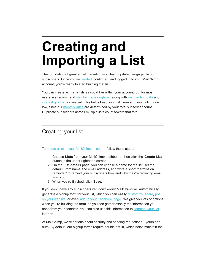# **Creating and Importing a List**

The foundation of great email marketing is a clean, updated, engaged list of subscribers. Once you've **created**, confirmed, and logged in to your MailChimp account, you're ready to start building that list.

You can create as many lists as you'd like within your account, but for most users, we recommend [maintaining a single list](http://kb.mailchimp.com/lists/growth/best-practices-for-lists) along with [segmenting data](http://kb.mailchimp.com/lists/groups-and-segments/getting-started-with-segments) and [interest groups](http://kb.mailchimp.com/lists/groups-and-segments/add-groups-to-a-list), as needed. This helps keep your list clean and your billing rate low, since our [monthly rates](http://mailchimp.com/pricing/growing-business/) are determined by your total subscriber count. Duplicate subscribers across multiple lists count toward that total.

### Creating your list

To [create a list in your MailChimp account](http://eepurl.com/gOHY), follow these steps:

- 1. Choose **Lists** from your MailChimp dashboard, then click the **Create List** button in the upper righthand corner.
- 2. On the **List details** page, you can choose a name for the list, set the default From name and email address, and write a short "permission reminder" to remind your subscribers how and why they're receiving email from you.
- 3. When you're finished, click **Save**.

If you don't have any subscribers yet, don't worry! MailChimp will automatically [generate a signup form for your list, which you can easily customize, share, post](http://kb.mailchimp.com/lists/signup-forms/add-a-signup-form-to-your-website) on your website, or even [add to your Facebook page](http://kb.mailchimp.com/integrations/facebook/add-a-signup-form-to-your-facebook-page). We give you lots of options when you're building the form, so you can gather exactly the information you need from your contacts. You can also use this information to [segment your list](http://kb.mailchimp.com/lists/groups-and-segments/getting-started-with-segments) later on.

At MailChimp, we're serious about security and sending reputations—yours and ours. By default, our signup forms require double opt-in, which helps maintain the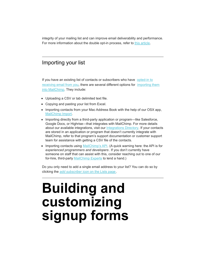integrity of your mailing list and can improve email deliverability and performance. For more information about the double opt-in process, refer to [this article](http://kb.mailchimp.com/lists/signup-forms/the-double-opt-in-process).

### Importing your list

[If you have an existing list of contacts or subscribers who have opted-in to](http://kb.mailchimp.com/accounts/compliance-tips/examples-of-compliant-and-non-compliant-lists) [receiving email from you, there are several different options for importing them](http://eepurl.com/gOH5) into MailChimp. They include:

- Uploading a CSV or tab delimited text file.
- Copying and pasting your list from Excel.
- Importing contacts from your Mac Address Book with the help of our OSX app, [MailChimp Import](http://kb.mailchimp.com/lists/growth/use-mailchimp-import-to-export-contacts-from-your-mac).
- Importing directly from a third-party application or program—like Salesforce, Google Docs, or Highrise—that integrates with MailChimp. For more details about our available integrations, visit our [Integrations Directory](http://connect.mailchimp.com/). If your contacts are stored in an application or program that doesn't currently integrate with MailChimp, refer to that program's support documentation or customer support team for assistance with getting a CSV file of the contacts.
- Importing contacts using [MailChimp's API](http://apidocs.mailchimp.com/). (A quick warning here: the API is for *experienced programmers and developers* . If you don't currently have someone on staff that can assist with this, consider reaching out to one of our for-hire, third-party [MailChimp Experts](https://experts.mailchimp.com/) to lend a hand.)

Do you only need to add a single email address to your list? You can do so by clicking the *add subscriber* [icon on the Lists page](http://kb.mailchimp.com/lists/growth/add-individual-subscribers-to-a-list) .

### **Building and customizing signup forms**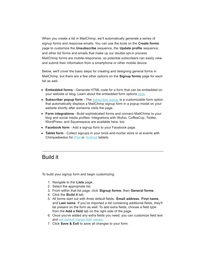When you create a list in MailChimp, we'll automatically generate a series of signup forms and response emails. You can use the tools on the **Create forms** page to customize the **Unsubscribe** sequence, the **Update profile** sequence, and other list forms and emails that make up our double opt-in process. MailChimp forms are mobile-responsive, so potential subscribers can easily view and submit their information from a smartphone or other mobile device.

Below, we'll cover the basic steps for creating and designing general forms in MailChimp, but there are a few other options on the **Signup forms** page for each list as well.

- **Embedded forms** Generate HTML code for a form that can be embedded on your website or blog. Learn about the embedded form options [here](http://kb.mailchimp.com/lists/signup-forms/add-a-signup-form-to-your-website#Embed-Form-options).
- **Subscriber popup form** The **[subscriber popup](http://eepurl.com/94dz9)** is a customizable form option that automatically displays a MailChimp signup form in a popup modal on your website shortly after someone visits the page.
- **Form integrations** Build sophisticated forms and connect MailChimp to your blog and social media profiles. Integrations with Wufoo, CoffeeCup, Twitter, WordPress, and Squarespace are available here, too.
- **Facebook form** Add a signup form to your Facebook page.
- **Tablet form** Collect signups in your brick-and-mortar store or at events with Chimpadeedoo for [iPad](http://kb.mailchimp.com/mobile/chimpadeedoo-for-ipad) or **Android** tablets.

#### Build it

To build your signup form and begin customizing:

- 1. Navigate to the **Lists** page.
- 2. Select the appropriate list.
- 3. From within that list page, click **Signup forms**, then **General forms**.
- 4. Click the **Build it** tab.
- 5. All forms start out with three default fields: **Email address**, **First name**, and **Last name**. If you've imported a list containing additional fields, they'll be present on the form as well. To add extra fields, choose a field type from the **Add a field** tab on the right side of the page.
- 6. Once you've added any extra fields you need, you can customize field text and [set default merge field values](http://kb.mailchimp.com/lists/managing-subscribers/set-default-merge-values-for-a-list) .
- 7. Click **Save & Exit** to save all changes to your form.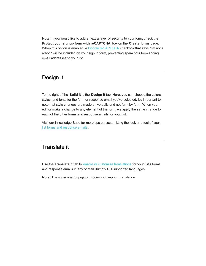**Note:** If you would like to add an extra layer of security to your form, check the **Protect your signup form with reCAPTCHA** box on the **Create forms** page. When this option is enabled, a [Google reCAPTCHA](https://www.google.com/recaptcha/intro/index.html) checkbox that says "I'm not a robot." will be included on your signup form, preventing spam bots from adding email addresses to your list.

#### Design it

To the right of the **Build it** is the **Design it** tab. Here, you can choose the colors, styles, and fonts for the form or response email you've selected. It's important to note that style changes are made universally and not form by form. When you edit or make a change to any element of the form, we apply the same change to each of the other forms and response emails for your list.

Visit our Knowledge Base for more tips on customizing the look and feel of your [list forms and response emails](http://kb.mailchimp.com/lists/signup-forms/create-signup-forms-and-response-emails) .

### Translate it

Use the **Translate it** tab to [enable or customize translations](http://kb.mailchimp.com/lists/signup-forms/translate-signup-forms-and-emails) for your list's forms and response emails in any of MailChimp's 40+ supported languages.

**Note:** The subscriber popup form does **not** support translation.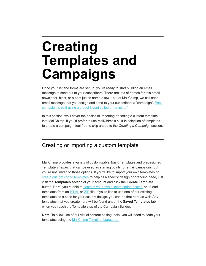## **Creating Templates and Campaigns**

Once your list and forms are set up, you're ready to start building an email message to send out to your subscribers. There are lots of names for this email newsletter, blast, or e-shot just to name a few—but at MailChimp, we call each [email message that you design and send to your subscribers a "campaign". Each](http://kb.mailchimp.com/campaigns/ways-to-build/templates-vs-campaigns) campaign is built using a preset layout called a "template."

In this section, we'll cover the basics of importing or coding a custom template into MailChimp. If you'd prefer to use MailChimp's built-in selection of templates to create a campaign, feel free to skip ahead to the *Creating a Campaign* section.

### Creating or importing a custom template

MailChimp provides a variety of customizable *Basic* Templates and predesigned Template *Themes* that can be used as starting points for email campaigns, but you're not limited to those options. If you'd like to import your own templates or [create custom coded templates](http://eepurl.com/hcJp) to help fill a specific design or branding need, just visit the **Templates** section of your account and click the **Create Template** button. Here, you're able to [paste in your own custom coded design](http://kb.mailchimp.com/campaigns/ways-to-build/paste-html-to-create-campaign) or upload templates from an **HTML** or **[ZIP](http://kb.mailchimp.com/templates/code/import-a-zip-file-to-create-a-template)** file. If you'd like to use one of our existing templates as a base for your custom design, you can do that here as well. Any templates that you create here will be found under the **Saved Templates** tab when you reach the Template step of the Campaign Builder.

**Note**: To allow use of our visual content editing tools, you will need to code your templates using the [MailChimp Template Language](http://templates.mailchimp.com/getting-started/template-language/).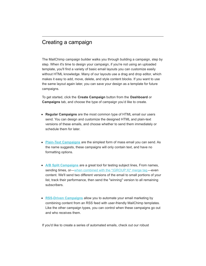#### Creating a campaign

The MailChimp campaign builder walks you through building a campaign, step by step. When it's time to design your campaign, if you're not using an uploaded template, you'll find a variety of basic email layouts you can customize easily without HTML knowledge. Many of our layouts use a drag and drop editor, which makes it easy to add, move, delete, and style content blocks. If you want to use the same layout again later, you can save your design as a template for future campaigns.

To get started, click the **Create Campaign** button from the **Dashboard** or **Campaigns** tab, and choose the type of campaign you'd like to create.

- **Regular Campaigns** are the most common type of HTML email our users send. You can design and customize the designed HTML and plain-text versions of these emails, and choose whether to send them immediately or schedule them for later.
- **[Plain-Text Campaigns](http://eepurl.com/gYYY)** are the simplest form of mass email you can send. As the name suggests, these campaigns will only contain text, and have no formatting options.
- **[A/B Split Campaigns](http://eepurl.com/hcvL)** are a great tool for testing subject lines, From names, sending times, or[—when combined with the \\*|GROUP:X|\\* merge tag](http://kb.mailchimp.com/campaigns/ab-split/test-content-with-an-a-b-split-campaign)—even content. We'll send two different versions of the email to small portions of your list, track their performance, then send the "winning" version to all remaining subscribers.
- **[RSS-Driven Campaigns](http://eepurl.com/iDlQ)** allow you to automate your email marketing by combining content from an RSS feed with user-friendly MailChimp templates. Like the other campaign types, you can control when these campaigns go out and who receives them.

If you'd like to create a series of automated emails, check out our robust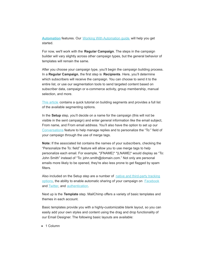**[Automation](http://mailchimp.com/features/automation/)** features. Our [Working With Automation guide](http://mailchimp.com/resources/guides/working-with-automation/) will help you get started.

For now, we'll work with the **Regular Campaign**. The steps in the campaign builder will vary slightly across other campaign types, but the general behavior of templates will remain the same.

After you choose your campaign type, you'll begin the campaign building process. In a **Regular Campaign**, the first step is **Recipients**. Here, you'll determine which subscribers will receive the campaign. You can choose to send it to the entire list, or use our segmentation tools to send targeted content based on subscriber data, campaign or e-commerce activity, group membership, manual selection, and more.

[This article](http://eepurl.com/gWN5) contains a quick tutorial on building segments and provides a full list of the available segmenting options.

In the **Setup** step, you'll decide on a name for the campaign (this will not be visible in the sent campaign) and enter general information like the email subject, From name, and From email address. You'll also have the option to set up our [Conversations](http://kb.mailchimp.com/lists/managing-subscribers/set-up-and-use-conversations) feature to help manage replies and to personalize the "To:" field of your campaign through the use of merge tags.

**Note:** If the associated list contains the names of your subscribers, checking the "Personalize the To: field" feature will allow you to use merge tags to help personalize each email. For example, \*|FNAME|\* \*|LNAME|\* would display as "To: John Smith" instead of "To: john.smith@domain.com." Not only are personal emails more likely to be opened, they're also less prone to get flagged by spam filters.

[Also included on the Setup step are a number of native and third-party tracking](http://eepurl.com/Bn9fz) options, the ability to enable automatic sharing of your campaign on **[Facebook](http://eepurl.com/l7WJT)** and [Twitter](http://eepurl.com/ko421), and [authentication](http://kb.mailchimp.com/delivery/deliverability-research/set-up-mailchimp-authentication).

Next up is the **Template** step. MailChimp offers a variety of basic templates and themes in each account.

Basic templates provide you with a highly-customizable blank layout, so you can easily add your own styles and content using the drag and drop functionality of our Email Designer. The following basic layouts are available:

• 1 Column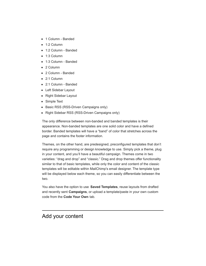- 1 Column Banded
- 1:2 Column
- 1:2 Column Banded
- 1:3 Column
- 1:3 Column Banded
- 2 Column
- 2 Column Banded
- 2:1 Column
- 2:1 Column Banded
- Left Sidebar Layout
- Right Sidebar Layout
- Simple Text
- Basic RSS (RSS-Driven Campaigns only)
- Right Sidebar RSS (RSS-Driven Campaigns only)

The only difference between non-banded and banded templates is their appearance. Non-banded templates are one solid color and have a defined border. Banded templates will have a "band" of color that stretches across the page and contains the footer information.

Themes, on the other hand, are predesigned, preconfigured templates that don't require any programming or design knowledge to use. Simply pick a theme, plug in your content, and you'll have a beautiful campaign. Themes come in two varieties: "drag and drop" and "classic." Drag and drop themes offer functionality similar to that of basic templates, while only the color and content of the classic templates will be editable within MailChimp's email designer. The template type will be displayed below each theme, so you can easily differentiate between the two.

You also have the option to use **Saved Templates**, reuse layouts from drafted and recently sent **Campaigns**, or upload a template/paste in your own custom code from the **Code Your Own** tab.

#### Add your content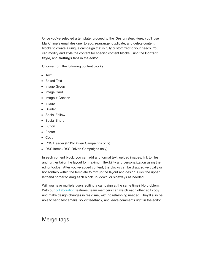Once you've selected a template, proceed to the **Design** step. Here, you'll use MailChimp's email designer to add, rearrange, duplicate, and delete content blocks to create a unique campaign that is fully customized to your needs. You can modify and style the content for specific content blocks using the **Content**, **Style**, and **Settings** tabs in the editor.

Choose from the following content blocks:

- Text
- Boxed Text
- Image Group
- Image Card
- Image + Caption
- Image
- Divider
- Social Follow
- Social Share
- Button
- Footer
- Code
- RSS Header (RSS-Driven Campaigns only)
- RSS Items (RSS-Driven Campaigns only)

In each content block, you can add and format text, upload images, link to files, and further tailor the layout for maximum flexibility and personalization using the editor toolbar. After you've added content, the blocks can be dragged vertically or horizontally within the template to mix up the layout and design. Click the upper lefthand corner to drag each block up, down, or sideways as needed.

Will you have multiple users editing a campaign at the same time? No problem. With our [collaboration](http://eepurl.com/yM_M5) features, team members can watch each other edit copy and make design changes in real-time, with no refreshing needed. They'll also be able to send test emails, solicit feedback, and leave comments right in the editor.

#### Merge tags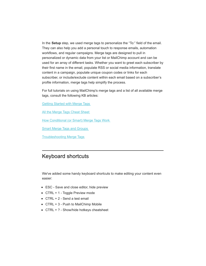In the **Setup** step, we used merge tags to personalize the "To:" field of the email. They can also help you add a personal touch to response emails, automation workflows, and regular campaigns. Merge tags are designed to pull in personalized or dynamic data from your list or MailChimp account and can be used for an array of different tasks. Whether you want to greet each subscriber by their first name in the email, populate RSS or social media information, translate content in a campaign, populate unique coupon codes or links for each subscriber, or include/exclude content within each email based on a subscriber's profile information, merge tags help simplify the process.

For full tutorials on using MailChimp's merge tags and a list of all available merge tags, consult the following KB articles:

[Getting Started with Merge Tags](http://eepurl.com/cjSwb)

[All the Merge Tags Cheat Sheet](http://eepurl.com/cBqRg)

[How Conditional \(or Smart\) Merge Tags Work](http://kb.mailchimp.com/merge-tags/smart/how-conditional-or-smart-merge-tags-work)

[Smart Merge Tags and Groups](http://eepurl.com/BZv3)

[Troubleshooting Merge Tags](http://eepurl.com/hcrI)

#### Keyboard shortcuts

We've added some handy keyboard shortcuts to make editing your content even easier:

- ESC Save and close editor, hide preview
- CTRL + 1 Toggle Preview mode
- CTRL + 2 Send a test email
- CTRL + 3 Push to MailChimp Mobile
- CTRL + ? Show/hide hotkeys cheatsheet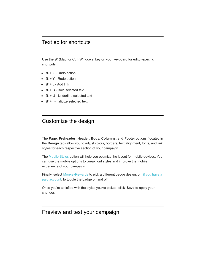#### Text editor shortcuts

Use the ⌘ (Mac) or Ctrl (Windows) key on your keyboard for editor-specific shortcuts.

- $\bullet$   $\mathcal{H}$  + Z Undo action
- $# + Y$  Redo action
- $\bullet$   $\mathcal{H} + L \text{Add link}$
- $\bullet$   $\mathcal{H}$  + B Bold selected text
- ⌘ + U Underline selected text
- $\bullet$   $\mathcal{H}$  + I Italicize selected text

#### Customize the design

The **Page**, **Preheader**, **Header**, **Body**, **Columns**, and **Footer** options (located in the **Design** tab) allow you to adjust colors, borders, text alignment, fonts, and link styles for each respective section of your campaign.

The [Mobile Styles](http://kb.mailchimp.com/campaigns/design/edit-and-test-mobile-styles-in-a-campaign) option will help you optimize the layout for mobile devices. You can use the mobile options to tweak font styles and improve the mobile experience of your campaign.

[Finally, select MonkeyRewards to pick a different badge design, or, if you have a](http://kb.mailchimp.com/accounts/account-setup/monkeyrewards-credits) paid account, to toggle the badge on and off.

Once you're satisfied with the styles you've picked, click **Save** to apply your changes.

#### Preview and test your campaign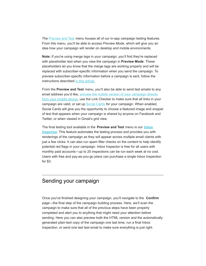The **Preview and Test menu houses all of our in-app campaign testing features.** From this menu, you'll be able to access *Preview Mode*, which will give you an idea how your campaign will render on desktop and mobile environments.

**Note:** If you're using merge tags in your campaign, you'll find they're replaced with placeholder text when you view the campaign in **Preview Mode**. These placeholders let you know that the merge tags are working properly and will be replaced with subscriber-specific information when you send the campaign. To preview subscriber-specific information before a campaign is sent, follow the instructions described [in this article](http://eepurl.com/hcHX).

From the **Preview and Test** menu, you'll also be able to send test emails to any email address you'd like, preview the mobile version of your campaign directly [from your mobile device, use the Link Checker to make sure that all links in yo](http://kb.mailchimp.com/campaigns/design/edit-and-test-mobile-styles-in-a-campaign#Push-to-MailChimp-Mobile)ur campaign are valid, or set up [Social Cards](http://eepurl.com/XSaMn) for your campaign. When enabled, Social Cards will give you the opportunity to choose a featured image and snippet of text that appears when your campaign is shared by anyone on Facebook and Twitter, or when viewed in Gmail's grid view.

The final testing tool available in the **Preview and Test** menu is our **Inbox Inspector**[. This feature automates the testing process and provides you wi](http://eepurl.com/gOOb)th renderings of the campaign as they will appear across multiple email clients with just a few clicks. It can also run spam filter checks on the content to help identify potential red flags in your campaign. Inbox Inspector is free for all users with monthly paid accounts—up to 25 inspections can be run each week at no cost. Users with free and pay-as-you-go plans can purchase a single Inbox Inspection for \$3.

#### Sending your campaign

Once you've finished designing your campaign, you'll navigate to the **Confirm** page—the final step of the campaign building process. Here, we'll scan the campaign to make sure that all of the previous steps have been properly completed and alert you to anything that might need your attention before sending. Here you can also preview both the HTML version and the automatically generated plain-text copy of the campaign one last time, run a final Inbox Inspection, or send one last test email to make sure everything is just right.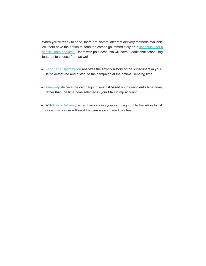When you're ready to send, there are several different delivery methods available. [All users have the option to send the campaign immediately or to schedule it for a](http://eepurl.com/ij5r) specific date and time. Users with paid accounts will have 3 additional scheduling features to choose from as well:

- [Send Time Optimization](http://kb.mailchimp.com/deliverability/deliverability-research/find-your-best-sending-time) analyzes the activity history of the subscribers in your list to determine and distribute the campaign at the optimal sending time.
- [Timewarp](http://kb.mailchimp.com/campaigns/confirmation-and-sending/use-timewarp-to-optimize-sending-by-time-zone) delivers the campaign to your list based on the recipient's time zone, rather than the time zone selected in your MailChimp account.
- With [Batch Delivery](http://kb.mailchimp.com/campaigns/confirmation-and-sending/schedule-batch-delivery), rather than sending your campaign out to the whole list at once, this feature will send the campaign in timed batches.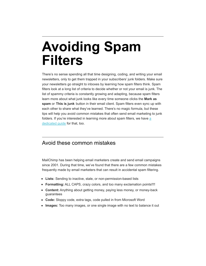### **Avoiding Spam Filters**

There's no sense spending all that time designing, coding, and writing your email newsletters, only to get them trapped in your subscribers' junk folders. Make sure your newsletters go straight to inboxes by learning how spam filters think. Spam filters look at a long list of criteria to decide whether or not your email is junk. The list of spammy criteria is constantly growing and adapting, because spam filters learn more about what junk looks like every time someone clicks the **Mark as spam** or **This is junk** button in their email client. Spam filters even sync up with each other to share what they've learned. There's no magic formula, but these tips will help you avoid common mistakes that often send email marketing to junk [folders. If you're interested in learning more about spam filters, we have a](http://mailchimp.com/resources/guides/how-to-avoid-spam-filters/html/) dedicated guide for that, too.

#### Avoid these common mistakes

MailChimp has been helping email marketers create and send email campaigns since 2001. During that time, we've found that there are a few common mistakes frequently made by email marketers that can result in accidental spam filtering.

- **Lists:** Sending to inactive, stale, or non-permission-based lists
- **Formatting:** ALL CAPS, crazy colors, and too many exclamation points!!!!
- **Content:** Anything about getting money, paying less money, or money-back guarantees
- **Code:** Sloppy code, extra tags, code pulled in from Microsoft Word
- **Images:** Too many images, or one single image with no text to balance it out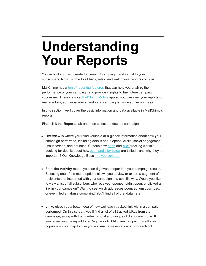## **Understanding Your Reports**

You've built your list, created a beautiful campaign, and sent it to your subscribers. Now it's time to sit back, relax, and watch your reports come in.

MailChimp has a [ton of reporting features](http://mailchimp.com/features/reports/) that can help you analyze the performance of your campaign and provide insights to fuel future campaign successes. There's also a [MailChimp Mobile](http://mailchimp.com/features/mailchimp-mobile/) app so you can view your reports (or manage lists, add subscribers, and send campaigns) while you're on the go.

In this section, we'll cover the basic information and data available in MailChimp's reports.

First, click the **Reports** tab and then select the desired campaign.

- **Overview** is where you'll find valuable at-a-glance information about how your campaign performed, including details about opens, clicks, social engagement, unsubscribes, and bounces. Curious how [open](http://kb.mailchimp.com/reports/about-open-tracking) and [click](http://kb.mailchimp.com/reports/about-click-tracking) tracking works? Looking for details about how [open and click rates](http://kb.mailchimp.com/reports/about-open-and-click-rates) are tallied—and why they're important? Our Knowledge Base [has you covered](http://kb.mailchimp.com/reports).
- From the **Activity** menu, you can dig even deeper into your campaign results. Selecting one of the menu options allows you to view or export a segment of recipients that interacted with your campaign in a specific way. Would you like to view a list of all subscribers who received, opened, didn't open, or clicked a link in your campaign? Want to see which addresses bounced, unsubscribed, or even filed an abuse complaint? You'll find all of that data here.
- **Links** gives you a better idea of how well each tracked link within a campaign performed. On this screen, you'll find a list of all tracked URLs from the campaign, along with the number of total and unique clicks for each one. If you're viewing the report for a Regular or RSS-Driven campaign, we'll also populate a click map to give you a visual representation of how each link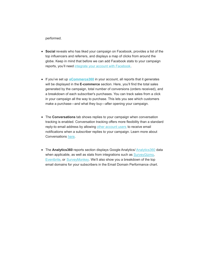performed.

- **Social** reveals who has liked your campaign on Facebook, provides a list of the top influencers and referrers, and displays a map of clicks from around the globe. Keep in mind that before we can add Facebook stats to your campaign reports, you'll need [integrate your account with Facebook](http://kb.mailchimp.com/integrations/facebook/integrate-facebook-with-mailchimp).
- If you've set up **[eCommerce360](http://kb.mailchimp.com/integrations/other-integrations/about-ecommerce360)** in your account, all reports that it generates will be displayed in the **E-commerce** section. Here, you'll find the total sales generated by the campaign, total number of conversions (orders received), and a breakdown of each subscriber's purchases. You can track sales from a click in your campaign all the way to purchase. This lets you see which customers make a purchase—and what they buy—after opening your campaign.
- The **Conversations** tab shows replies to your campaign when conversation tracking is enabled. Conversation tracking offers more flexibility than a standard reply-to email address by allowing [other account users](http://kb.mailchimp.com/accounts/multi-user/manage-user-permissions) to receive email notifications when a subscriber replies to your campaign. Learn more about Conversations [here](http://kb.mailchimp.com/lists/managing-subscribers/set-up-and-use-conversations).
- The **[Analytics360](http://kb.mailchimp.com/integrations/other-integrations/integrate-google-analytics-with-mailchimp)** reports section displays Google Analytics/ Analytics360 data when applicable, as well as stats from integrations such as **SurveyGizmo**, [Eventbrite](http://kb.mailchimp.com/integrations/other-integrations/integrate-eventbrite-with-mailchimp), or [SurveyMonkey](http://kb.mailchimp.com/integrations/other-integrations/integrate-surveymonkey-with-mailchimp). We'll also show you a breakdown of the top email domains for your subscribers in the Email Domain Performance chart.